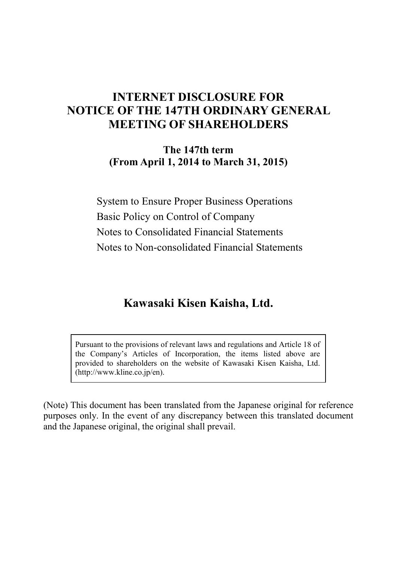# **INTERNET DISCLOSURE FOR NOTICE OF THE 147TH ORDINARY GENERAL MEETING OF SHAREHOLDERS**

**The 147th term (From April 1, 2014 to March 31, 2015)** 

System to Ensure Proper Business Operations Basic Policy on Control of Company Notes to Consolidated Financial Statements Notes to Non-consolidated Financial Statements

# **Kawasaki Kisen Kaisha, Ltd.**

Pursuant to the provisions of relevant laws and regulations and Article 18 of the Company's Articles of Incorporation, the items listed above are provided to shareholders on the website of Kawasaki Kisen Kaisha, Ltd. (http://www.kline.co.jp/en).

(Note) This document has been translated from the Japanese original for reference purposes only. In the event of any discrepancy between this translated document and the Japanese original, the original shall prevail.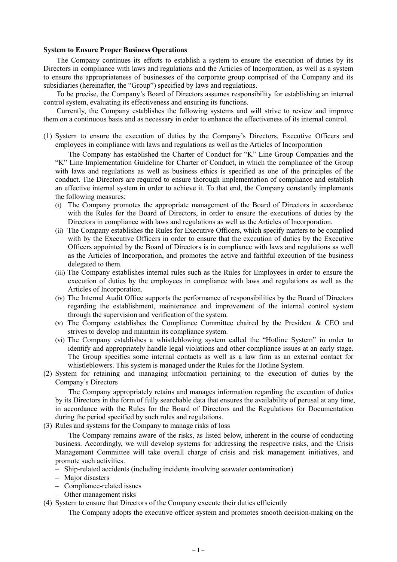#### **System to Ensure Proper Business Operations**

The Company continues its efforts to establish a system to ensure the execution of duties by its Directors in compliance with laws and regulations and the Articles of Incorporation, as well as a system to ensure the appropriateness of businesses of the corporate group comprised of the Company and its subsidiaries (hereinafter, the "Group") specified by laws and regulations.

To be precise, the Company's Board of Directors assumes responsibility for establishing an internal control system, evaluating its effectiveness and ensuring its functions.

Currently, the Company establishes the following systems and will strive to review and improve them on a continuous basis and as necessary in order to enhance the effectiveness of its internal control.

(1) System to ensure the execution of duties by the Company's Directors, Executive Officers and employees in compliance with laws and regulations as well as the Articles of Incorporation

The Company has established the Charter of Conduct for "K" Line Group Companies and the "K" Line Implementation Guideline for Charter of Conduct, in which the compliance of the Group with laws and regulations as well as business ethics is specified as one of the principles of the conduct. The Directors are required to ensure thorough implementation of compliance and establish an effective internal system in order to achieve it. To that end, the Company constantly implements the following measures:

- (i) The Company promotes the appropriate management of the Board of Directors in accordance with the Rules for the Board of Directors, in order to ensure the executions of duties by the Directors in compliance with laws and regulations as well as the Articles of Incorporation.
- (ii) The Company establishes the Rules for Executive Officers, which specify matters to be complied with by the Executive Officers in order to ensure that the execution of duties by the Executive Officers appointed by the Board of Directors is in compliance with laws and regulations as well as the Articles of Incorporation, and promotes the active and faithful execution of the business delegated to them.
- (iii) The Company establishes internal rules such as the Rules for Employees in order to ensure the execution of duties by the employees in compliance with laws and regulations as well as the Articles of Incorporation.
- (iv) The Internal Audit Office supports the performance of responsibilities by the Board of Directors regarding the establishment, maintenance and improvement of the internal control system through the supervision and verification of the system.
- (v) The Company establishes the Compliance Committee chaired by the President  $\&$  CEO and strives to develop and maintain its compliance system.
- (vi) The Company establishes a whistleblowing system called the "Hotline System" in order to identify and appropriately handle legal violations and other compliance issues at an early stage. The Group specifies some internal contacts as well as a law firm as an external contact for whistleblowers. This system is managed under the Rules for the Hotline System.
- (2) System for retaining and managing information pertaining to the execution of duties by the Company's Directors

The Company appropriately retains and manages information regarding the execution of duties by its Directors in the form of fully searchable data that ensures the availability of perusal at any time, in accordance with the Rules for the Board of Directors and the Regulations for Documentation during the period specified by such rules and regulations.

(3) Rules and systems for the Company to manage risks of loss

The Company remains aware of the risks, as listed below, inherent in the course of conducting business. Accordingly, we will develop systems for addressing the respective risks, and the Crisis Management Committee will take overall charge of crisis and risk management initiatives, and promote such activities.

- Ship-related accidents (including incidents involving seawater contamination)
- Major disasters
- Compliance-related issues
- Other management risks
- (4) System to ensure that Directors of the Company execute their duties efficiently

The Company adopts the executive officer system and promotes smooth decision-making on the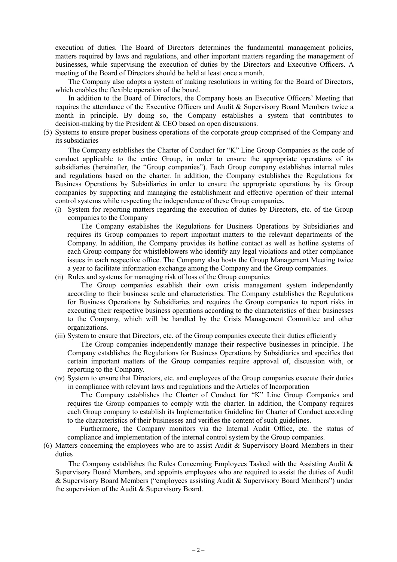execution of duties. The Board of Directors determines the fundamental management policies, matters required by laws and regulations, and other important matters regarding the management of businesses, while supervising the execution of duties by the Directors and Executive Officers. A meeting of the Board of Directors should be held at least once a month.

The Company also adopts a system of making resolutions in writing for the Board of Directors, which enables the flexible operation of the board.

In addition to the Board of Directors, the Company hosts an Executive Officers' Meeting that requires the attendance of the Executive Officers and Audit & Supervisory Board Members twice a month in principle. By doing so, the Company establishes a system that contributes to decision-making by the President & CEO based on open discussions.

(5) Systems to ensure proper business operations of the corporate group comprised of the Company and its subsidiaries

The Company establishes the Charter of Conduct for "K" Line Group Companies as the code of conduct applicable to the entire Group, in order to ensure the appropriate operations of its subsidiaries (hereinafter, the "Group companies"). Each Group company establishes internal rules and regulations based on the charter. In addition, the Company establishes the Regulations for Business Operations by Subsidiaries in order to ensure the appropriate operations by its Group companies by supporting and managing the establishment and effective operation of their internal control systems while respecting the independence of these Group companies.

(i) System for reporting matters regarding the execution of duties by Directors, etc. of the Group companies to the Company

The Company establishes the Regulations for Business Operations by Subsidiaries and requires its Group companies to report important matters to the relevant departments of the Company. In addition, the Company provides its hotline contact as well as hotline systems of each Group company for whistleblowers who identify any legal violations and other compliance issues in each respective office. The Company also hosts the Group Management Meeting twice a year to facilitate information exchange among the Company and the Group companies.

(ii) Rules and systems for managing risk of loss of the Group companies

The Group companies establish their own crisis management system independently according to their business scale and characteristics. The Company establishes the Regulations for Business Operations by Subsidiaries and requires the Group companies to report risks in executing their respective business operations according to the characteristics of their businesses to the Company, which will be handled by the Crisis Management Committee and other organizations.

(iii) System to ensure that Directors, etc. of the Group companies execute their duties efficiently

The Group companies independently manage their respective businesses in principle. The Company establishes the Regulations for Business Operations by Subsidiaries and specifies that certain important matters of the Group companies require approval of, discussion with, or reporting to the Company.

(iv) System to ensure that Directors, etc. and employees of the Group companies execute their duties in compliance with relevant laws and regulations and the Articles of Incorporation

The Company establishes the Charter of Conduct for "K" Line Group Companies and requires the Group companies to comply with the charter. In addition, the Company requires each Group company to establish its Implementation Guideline for Charter of Conduct according to the characteristics of their businesses and verifies the content of such guidelines.

Furthermore, the Company monitors via the Internal Audit Office, etc. the status of compliance and implementation of the internal control system by the Group companies.

(6) Matters concerning the employees who are to assist Audit & Supervisory Board Members in their duties

The Company establishes the Rules Concerning Employees Tasked with the Assisting Audit  $\&$ Supervisory Board Members, and appoints employees who are required to assist the duties of Audit & Supervisory Board Members ("employees assisting Audit & Supervisory Board Members") under the supervision of the Audit & Supervisory Board.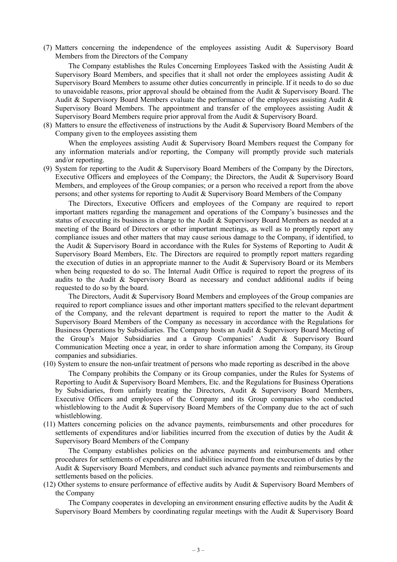(7) Matters concerning the independence of the employees assisting Audit & Supervisory Board Members from the Directors of the Company

The Company establishes the Rules Concerning Employees Tasked with the Assisting Audit  $\&$ Supervisory Board Members, and specifies that it shall not order the employees assisting Audit  $\&$ Supervisory Board Members to assume other duties concurrently in principle. If it needs to do so due to unavoidable reasons, prior approval should be obtained from the Audit & Supervisory Board. The Audit & Supervisory Board Members evaluate the performance of the employees assisting Audit & Supervisory Board Members. The appointment and transfer of the employees assisting Audit  $\&$ Supervisory Board Members require prior approval from the Audit & Supervisory Board.

(8) Matters to ensure the effectiveness of instructions by the Audit & Supervisory Board Members of the Company given to the employees assisting them

When the employees assisting Audit & Supervisory Board Members request the Company for any information materials and/or reporting, the Company will promptly provide such materials and/or reporting.

(9) System for reporting to the Audit & Supervisory Board Members of the Company by the Directors, Executive Officers and employees of the Company; the Directors, the Audit & Supervisory Board Members, and employees of the Group companies; or a person who received a report from the above persons; and other systems for reporting to Audit & Supervisory Board Members of the Company

The Directors, Executive Officers and employees of the Company are required to report important matters regarding the management and operations of the Company's businesses and the status of executing its business in charge to the Audit & Supervisory Board Members as needed at a meeting of the Board of Directors or other important meetings, as well as to promptly report any compliance issues and other matters that may cause serious damage to the Company, if identified, to the Audit & Supervisory Board in accordance with the Rules for Systems of Reporting to Audit & Supervisory Board Members, Etc. The Directors are required to promptly report matters regarding the execution of duties in an appropriate manner to the Audit & Supervisory Board or its Members when being requested to do so. The Internal Audit Office is required to report the progress of its audits to the Audit & Supervisory Board as necessary and conduct additional audits if being requested to do so by the board.

The Directors, Audit & Supervisory Board Members and employees of the Group companies are required to report compliance issues and other important matters specified to the relevant department of the Company, and the relevant department is required to report the matter to the Audit  $\&$ Supervisory Board Members of the Company as necessary in accordance with the Regulations for Business Operations by Subsidiaries. The Company hosts an Audit & Supervisory Board Meeting of the Group's Major Subsidiaries and a Group Companies' Audit & Supervisory Board Communication Meeting once a year, in order to share information among the Company, its Group companies and subsidiaries.

(10) System to ensure the non-unfair treatment of persons who made reporting as described in the above

The Company prohibits the Company or its Group companies, under the Rules for Systems of Reporting to Audit & Supervisory Board Members, Etc. and the Regulations for Business Operations by Subsidiaries, from unfairly treating the Directors, Audit & Supervisory Board Members, Executive Officers and employees of the Company and its Group companies who conducted whistleblowing to the Audit  $\&$  Supervisory Board Members of the Company due to the act of such whistleblowing.

(11) Matters concerning policies on the advance payments, reimbursements and other procedures for settlements of expenditures and/or liabilities incurred from the execution of duties by the Audit & Supervisory Board Members of the Company

The Company establishes policies on the advance payments and reimbursements and other procedures for settlements of expenditures and liabilities incurred from the execution of duties by the Audit & Supervisory Board Members, and conduct such advance payments and reimbursements and settlements based on the policies.

(12) Other systems to ensure performance of effective audits by Audit & Supervisory Board Members of the Company

The Company cooperates in developing an environment ensuring effective audits by the Audit & Supervisory Board Members by coordinating regular meetings with the Audit & Supervisory Board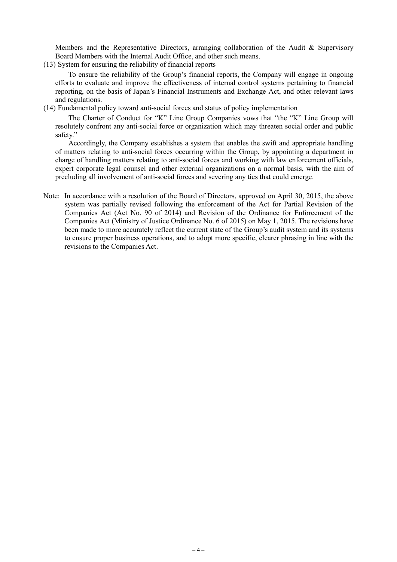Members and the Representative Directors, arranging collaboration of the Audit & Supervisory Board Members with the Internal Audit Office, and other such means.

(13) System for ensuring the reliability of financial reports

To ensure the reliability of the Group's financial reports, the Company will engage in ongoing efforts to evaluate and improve the effectiveness of internal control systems pertaining to financial reporting, on the basis of Japan's Financial Instruments and Exchange Act, and other relevant laws and regulations.

(14) Fundamental policy toward anti-social forces and status of policy implementation

The Charter of Conduct for "K" Line Group Companies vows that "the "K" Line Group will resolutely confront any anti-social force or organization which may threaten social order and public safety."

Accordingly, the Company establishes a system that enables the swift and appropriate handling of matters relating to anti-social forces occurring within the Group, by appointing a department in charge of handling matters relating to anti-social forces and working with law enforcement officials, expert corporate legal counsel and other external organizations on a normal basis, with the aim of precluding all involvement of anti-social forces and severing any ties that could emerge.

Note: In accordance with a resolution of the Board of Directors, approved on April 30, 2015, the above system was partially revised following the enforcement of the Act for Partial Revision of the Companies Act (Act No. 90 of 2014) and Revision of the Ordinance for Enforcement of the Companies Act (Ministry of Justice Ordinance No. 6 of 2015) on May 1, 2015. The revisions have been made to more accurately reflect the current state of the Group's audit system and its systems to ensure proper business operations, and to adopt more specific, clearer phrasing in line with the revisions to the Companies Act.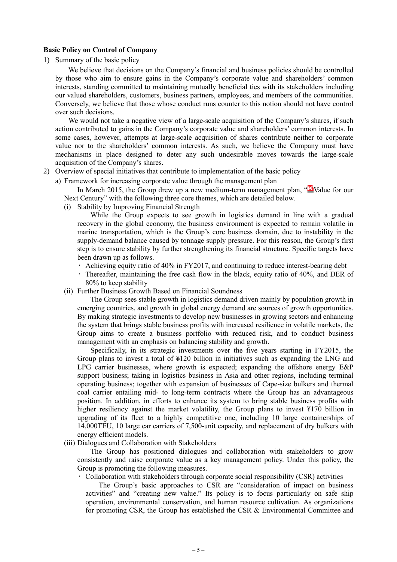#### **Basic Policy on Control of Company**

1) Summary of the basic policy

We believe that decisions on the Company's financial and business policies should be controlled by those who aim to ensure gains in the Company's corporate value and shareholders' common interests, standing committed to maintaining mutually beneficial ties with its stakeholders including our valued shareholders, customers, business partners, employees, and members of the communities. Conversely, we believe that those whose conduct runs counter to this notion should not have control over such decisions.

We would not take a negative view of a large-scale acquisition of the Company's shares, if such action contributed to gains in the Company's corporate value and shareholders' common interests. In some cases, however, attempts at large-scale acquisition of shares contribute neither to corporate value nor to the shareholders' common interests. As such, we believe the Company must have mechanisms in place designed to deter any such undesirable moves towards the large-scale acquisition of the Company's shares.

- 2) Overview of special initiatives that contribute to implementation of the basic policy
	- a) Framework for increasing corporate value through the management plan

In March 2015, the Group drew up a new medium-term management plan, " $\Delta$ Value for our Next Century" with the following three core themes, which are detailed below.

(i) Stability by Improving Financial Strength

While the Group expects to see growth in logistics demand in line with a gradual recovery in the global economy, the business environment is expected to remain volatile in marine transportation, which is the Group's core business domain, due to instability in the supply-demand balance caused by tonnage supply pressure. For this reason, the Group's first step is to ensure stability by further strengthening its financial structure. Specific targets have been drawn up as follows.

- Achieving equity ratio of 40% in FY2017, and continuing to reduce interest-bearing debt
- Thereafter, maintaining the free cash flow in the black, equity ratio of 40%, and DER of 80% to keep stability
- (ii) Further Business Growth Based on Financial Soundness

The Group sees stable growth in logistics demand driven mainly by population growth in emerging countries, and growth in global energy demand are sources of growth opportunities. By making strategic investments to develop new businesses in growing sectors and enhancing the system that brings stable business profits with increased resilience in volatile markets, the Group aims to create a business portfolio with reduced risk, and to conduct business management with an emphasis on balancing stability and growth.

Specifically, in its strategic investments over the five years starting in FY2015, the Group plans to invest a total of ¥120 billion in initiatives such as expanding the LNG and LPG carrier businesses, where growth is expected; expanding the offshore energy E&P support business; taking in logistics business in Asia and other regions, including terminal operating business; together with expansion of businesses of Cape-size bulkers and thermal coal carrier entailing mid- to long-term contracts where the Group has an advantageous position. In addition, in efforts to enhance its system to bring stable business profits with higher resiliency against the market volatility, the Group plans to invest ¥170 billion in upgrading of its fleet to a highly competitive one, including 10 large containerships of 14,000TEU, 10 large car carriers of 7,500-unit capacity, and replacement of dry bulkers with energy efficient models.

(iii) Dialogues and Collaboration with Stakeholders

The Group has positioned dialogues and collaboration with stakeholders to grow consistently and raise corporate value as a key management policy. Under this policy, the Group is promoting the following measures.

Collaboration with stakeholders through corporate social responsibility (CSR) activities

The Group's basic approaches to CSR are "consideration of impact on business activities" and "creating new value." Its policy is to focus particularly on safe ship operation, environmental conservation, and human resource cultivation. As organizations for promoting CSR, the Group has established the CSR & Environmental Committee and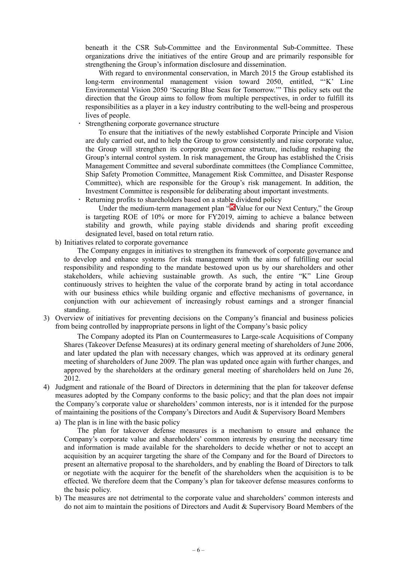beneath it the CSR Sub-Committee and the Environmental Sub-Committee. These organizations drive the initiatives of the entire Group and are primarily responsible for strengthening the Group's information disclosure and dissemination.

With regard to environmental conservation, in March 2015 the Group established its long-term environmental management vision toward 2050, entitled, "'K' Line Environmental Vision 2050 'Securing Blue Seas for Tomorrow.'" This policy sets out the direction that the Group aims to follow from multiple perspectives, in order to fulfill its responsibilities as a player in a key industry contributing to the well-being and prosperous lives of people.

Strengthening corporate governance structure

To ensure that the initiatives of the newly established Corporate Principle and Vision are duly carried out, and to help the Group to grow consistently and raise corporate value, the Group will strengthen its corporate governance structure, including reshaping the Group's internal control system. In risk management, the Group has established the Crisis Management Committee and several subordinate committees (the Compliance Committee, Ship Safety Promotion Committee, Management Risk Committee, and Disaster Response Committee), which are responsible for the Group's risk management. In addition, the Investment Committee is responsible for deliberating about important investments.

Returning profits to shareholders based on a stable dividend policy

Under the medium-term management plan "Nvalue for our Next Century," the Group is targeting ROE of 10% or more for FY2019, aiming to achieve a balance between stability and growth, while paying stable dividends and sharing profit exceeding designated level, based on total return ratio.

b) Initiatives related to corporate governance

The Company engages in initiatives to strengthen its framework of corporate governance and to develop and enhance systems for risk management with the aims of fulfilling our social responsibility and responding to the mandate bestowed upon us by our shareholders and other stakeholders, while achieving sustainable growth. As such, the entire "K" Line Group continuously strives to heighten the value of the corporate brand by acting in total accordance with our business ethics while building organic and effective mechanisms of governance, in conjunction with our achievement of increasingly robust earnings and a stronger financial standing.

3) Overview of initiatives for preventing decisions on the Company's financial and business policies from being controlled by inappropriate persons in light of the Company's basic policy

The Company adopted its Plan on Countermeasures to Large-scale Acquisitions of Company Shares (Takeover Defense Measures) at its ordinary general meeting of shareholders of June 2006, and later updated the plan with necessary changes, which was approved at its ordinary general meeting of shareholders of June 2009. The plan was updated once again with further changes, and approved by the shareholders at the ordinary general meeting of shareholders held on June 26, 2012.

4) Judgment and rationale of the Board of Directors in determining that the plan for takeover defense measures adopted by the Company conforms to the basic policy; and that the plan does not impair the Company's corporate value or shareholders' common interests, nor is it intended for the purpose of maintaining the positions of the Company's Directors and Audit & Supervisory Board Members

a) The plan is in line with the basic policy

The plan for takeover defense measures is a mechanism to ensure and enhance the Company's corporate value and shareholders' common interests by ensuring the necessary time and information is made available for the shareholders to decide whether or not to accept an acquisition by an acquirer targeting the share of the Company and for the Board of Directors to present an alternative proposal to the shareholders, and by enabling the Board of Directors to talk or negotiate with the acquirer for the benefit of the shareholders when the acquisition is to be effected. We therefore deem that the Company's plan for takeover defense measures conforms to the basic policy.

b) The measures are not detrimental to the corporate value and shareholders' common interests and do not aim to maintain the positions of Directors and Audit & Supervisory Board Members of the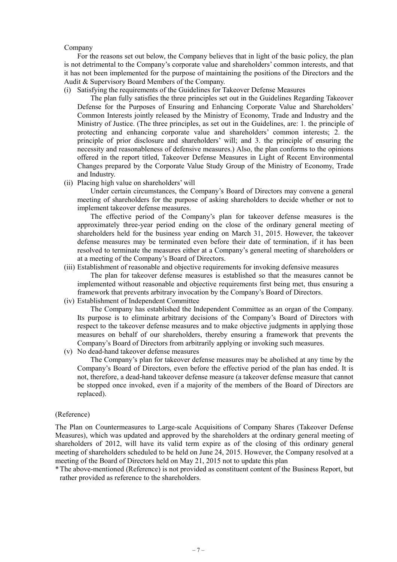#### Company

For the reasons set out below, the Company believes that in light of the basic policy, the plan is not detrimental to the Company's corporate value and shareholders' common interests, and that it has not been implemented for the purpose of maintaining the positions of the Directors and the Audit & Supervisory Board Members of the Company.

(i) Satisfying the requirements of the Guidelines for Takeover Defense Measures

The plan fully satisfies the three principles set out in the Guidelines Regarding Takeover Defense for the Purposes of Ensuring and Enhancing Corporate Value and Shareholders' Common Interests jointly released by the Ministry of Economy, Trade and Industry and the Ministry of Justice. (The three principles, as set out in the Guidelines, are: 1. the principle of protecting and enhancing corporate value and shareholders' common interests; 2. the principle of prior disclosure and shareholders' will; and 3. the principle of ensuring the necessity and reasonableness of defensive measures.) Also, the plan conforms to the opinions offered in the report titled, Takeover Defense Measures in Light of Recent Environmental Changes prepared by the Corporate Value Study Group of the Ministry of Economy, Trade and Industry.

(ii) Placing high value on shareholders' will

Under certain circumstances, the Company's Board of Directors may convene a general meeting of shareholders for the purpose of asking shareholders to decide whether or not to implement takeover defense measures.

The effective period of the Company's plan for takeover defense measures is the approximately three-year period ending on the close of the ordinary general meeting of shareholders held for the business year ending on March 31, 2015. However, the takeover defense measures may be terminated even before their date of termination, if it has been resolved to terminate the measures either at a Company's general meeting of shareholders or at a meeting of the Company's Board of Directors.

(iii) Establishment of reasonable and objective requirements for invoking defensive measures

The plan for takeover defense measures is established so that the measures cannot be implemented without reasonable and objective requirements first being met, thus ensuring a framework that prevents arbitrary invocation by the Company's Board of Directors.

(iv) Establishment of Independent Committee

The Company has established the Independent Committee as an organ of the Company. Its purpose is to eliminate arbitrary decisions of the Company's Board of Directors with respect to the takeover defense measures and to make objective judgments in applying those measures on behalf of our shareholders, thereby ensuring a framework that prevents the Company's Board of Directors from arbitrarily applying or invoking such measures.

(v) No dead-hand takeover defense measures

The Company's plan for takeover defense measures may be abolished at any time by the Company's Board of Directors, even before the effective period of the plan has ended. It is not, therefore, a dead-hand takeover defense measure (a takeover defense measure that cannot be stopped once invoked, even if a majority of the members of the Board of Directors are replaced).

#### (Reference)

The Plan on Countermeasures to Large-scale Acquisitions of Company Shares (Takeover Defense Measures), which was updated and approved by the shareholders at the ordinary general meeting of shareholders of 2012, will have its valid term expire as of the closing of this ordinary general meeting of shareholders scheduled to be held on June 24, 2015. However, the Company resolved at a meeting of the Board of Directors held on May 21, 2015 not to update this plan

\* The above-mentioned (Reference) is not provided as constituent content of the Business Report, but rather provided as reference to the shareholders.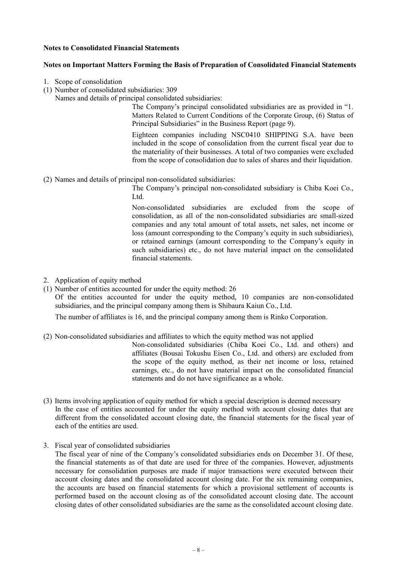## **Notes to Consolidated Financial Statements**

## **Notes on Important Matters Forming the Basis of Preparation of Consolidated Financial Statements**

- 1. Scope of consolidation
- (1) Number of consolidated subsidiaries: 309
	- Names and details of principal consolidated subsidiaries:

The Company's principal consolidated subsidiaries are as provided in "1. Matters Related to Current Conditions of the Corporate Group, (6) Status of Principal Subsidiaries" in the Business Report (page 9).

Eighteen companies including NSC0410 SHIPPING S.A. have been included in the scope of consolidation from the current fiscal year due to the materiality of their businesses. A total of two companies were excluded from the scope of consolidation due to sales of shares and their liquidation.

(2) Names and details of principal non-consolidated subsidiaries:

The Company's principal non-consolidated subsidiary is Chiba Koei Co., Ltd.

Non-consolidated subsidiaries are excluded from the scope of consolidation, as all of the non-consolidated subsidiaries are small-sized companies and any total amount of total assets, net sales, net income or loss (amount corresponding to the Company's equity in such subsidiaries), or retained earnings (amount corresponding to the Company's equity in such subsidiaries) etc., do not have material impact on the consolidated financial statements.

- 2. Application of equity method
- (1) Number of entities accounted for under the equity method: 26

Of the entities accounted for under the equity method, 10 companies are non-consolidated subsidiaries, and the principal company among them is Shibaura Kaiun Co., Ltd.

The number of affiliates is 16, and the principal company among them is Rinko Corporation.

(2) Non-consolidated subsidiaries and affiliates to which the equity method was not applied

Non-consolidated subsidiaries (Chiba Koei Co., Ltd. and others) and affiliates (Bousai Tokushu Eisen Co., Ltd. and others) are excluded from the scope of the equity method, as their net income or loss, retained earnings, etc., do not have material impact on the consolidated financial statements and do not have significance as a whole.

- (3) Items involving application of equity method for which a special description is deemed necessary In the case of entities accounted for under the equity method with account closing dates that are different from the consolidated account closing date, the financial statements for the fiscal year of each of the entities are used.
- 3. Fiscal year of consolidated subsidiaries

The fiscal year of nine of the Company's consolidated subsidiaries ends on December 31. Of these, the financial statements as of that date are used for three of the companies. However, adjustments necessary for consolidation purposes are made if major transactions were executed between their account closing dates and the consolidated account closing date. For the six remaining companies, the accounts are based on financial statements for which a provisional settlement of accounts is performed based on the account closing as of the consolidated account closing date. The account closing dates of other consolidated subsidiaries are the same as the consolidated account closing date.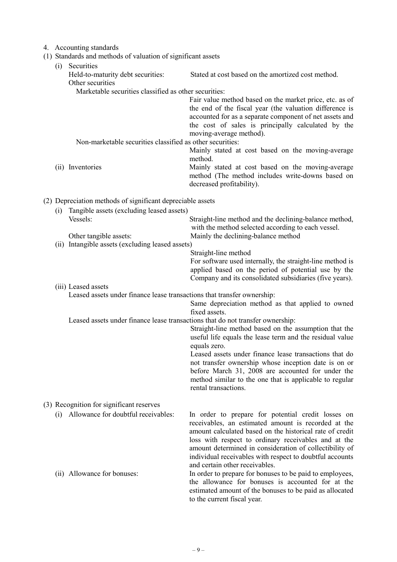#### 4. Accounting standards

(1) Standards and methods of valuation of significant assets

|     | $(1)$ standards and memods of valuation of significant assets                  |                                                                                                                                                                                                                                                                                                                                                                                        |
|-----|--------------------------------------------------------------------------------|----------------------------------------------------------------------------------------------------------------------------------------------------------------------------------------------------------------------------------------------------------------------------------------------------------------------------------------------------------------------------------------|
| (i) | Securities<br>Held-to-maturity debt securities:<br>Other securities            | Stated at cost based on the amortized cost method.                                                                                                                                                                                                                                                                                                                                     |
|     | Marketable securities classified as other securities:                          |                                                                                                                                                                                                                                                                                                                                                                                        |
|     |                                                                                | Fair value method based on the market price, etc. as of<br>the end of the fiscal year (the valuation difference is<br>accounted for as a separate component of net assets and<br>the cost of sales is principally calculated by the<br>moving-average method).                                                                                                                         |
|     | Non-marketable securities classified as other securities:                      |                                                                                                                                                                                                                                                                                                                                                                                        |
|     |                                                                                | Mainly stated at cost based on the moving-average<br>method.                                                                                                                                                                                                                                                                                                                           |
|     | (ii) Inventories                                                               | Mainly stated at cost based on the moving-average<br>method (The method includes write-downs based on<br>decreased profitability).                                                                                                                                                                                                                                                     |
|     | (2) Depreciation methods of significant depreciable assets                     |                                                                                                                                                                                                                                                                                                                                                                                        |
| (i) | Tangible assets (excluding leased assets)                                      |                                                                                                                                                                                                                                                                                                                                                                                        |
|     | Vessels:                                                                       | Straight-line method and the declining-balance method,<br>with the method selected according to each vessel.                                                                                                                                                                                                                                                                           |
|     | Other tangible assets:<br>(ii) Intangible assets (excluding leased assets)     | Mainly the declining-balance method                                                                                                                                                                                                                                                                                                                                                    |
|     |                                                                                | Straight-line method                                                                                                                                                                                                                                                                                                                                                                   |
|     |                                                                                | For software used internally, the straight-line method is                                                                                                                                                                                                                                                                                                                              |
|     |                                                                                | applied based on the period of potential use by the<br>Company and its consolidated subsidiaries (five years).                                                                                                                                                                                                                                                                         |
|     | (iii) Leased assets                                                            |                                                                                                                                                                                                                                                                                                                                                                                        |
|     | Leased assets under finance lease transactions that transfer ownership:        | Same depreciation method as that applied to owned<br>fixed assets.                                                                                                                                                                                                                                                                                                                     |
|     | Leased assets under finance lease transactions that do not transfer ownership: |                                                                                                                                                                                                                                                                                                                                                                                        |
|     |                                                                                | Straight-line method based on the assumption that the<br>useful life equals the lease term and the residual value<br>equals zero.                                                                                                                                                                                                                                                      |
|     |                                                                                | Leased assets under finance lease transactions that do                                                                                                                                                                                                                                                                                                                                 |
|     |                                                                                | not transfer ownership whose inception date is on or<br>before March 31, 2008 are accounted for under the<br>method similar to the one that is applicable to regular<br>rental transactions.                                                                                                                                                                                           |
|     | (3) Recognition for significant reserves                                       |                                                                                                                                                                                                                                                                                                                                                                                        |
|     |                                                                                |                                                                                                                                                                                                                                                                                                                                                                                        |
| (i) | Allowance for doubtful receivables:                                            | In order to prepare for potential credit losses on<br>receivables, an estimated amount is recorded at the<br>amount calculated based on the historical rate of credit<br>loss with respect to ordinary receivables and at the<br>amount determined in consideration of collectibility of<br>individual receivables with respect to doubtful accounts<br>and certain other receivables. |
|     | (ii) Allowance for bonuses:                                                    | In order to prepare for bonuses to be paid to employees,<br>the allowance for bonuses is accounted for at the<br>estimated amount of the bonuses to be paid as allocated<br>to the current fiscal year.                                                                                                                                                                                |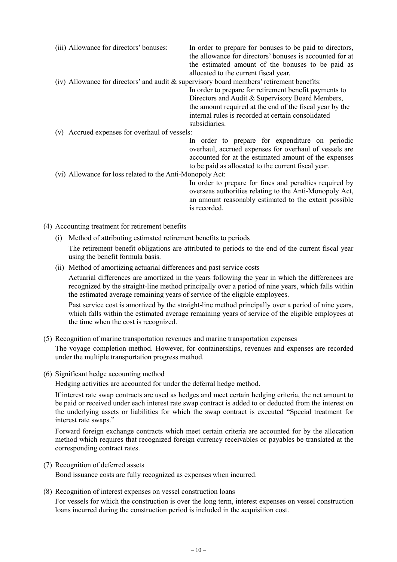- (iii) Allowance for directors' bonuses: In order to prepare for bonuses to be paid to directors, the allowance for directors' bonuses is accounted for at the estimated amount of the bonuses to be paid as allocated to the current fiscal year. (iv) Allowance for directors' and audit  $\&$  supervisory board members' retirement benefits: In order to prepare for retirement benefit payments to Directors and Audit & Supervisory Board Members, the amount required at the end of the fiscal year by the internal rules is recorded at certain consolidated subsidiaries. (v) Accrued expenses for overhaul of vessels: In order to prepare for expenditure on periodic overhaul, accrued expenses for overhaul of vessels are accounted for at the estimated amount of the expenses to be paid as allocated to the current fiscal year. (vi) Allowance for loss related to the Anti-Monopoly Act: In order to prepare for fines and penalties required by overseas authorities relating to the Anti-Monopoly Act, an amount reasonably estimated to the extent possible
- (4) Accounting treatment for retirement benefits
	- (i) Method of attributing estimated retirement benefits to periods The retirement benefit obligations are attributed to periods to the end of the current fiscal year using the benefit formula basis.

is recorded.

(ii) Method of amortizing actuarial differences and past service costs

Actuarial differences are amortized in the years following the year in which the differences are recognized by the straight-line method principally over a period of nine years, which falls within the estimated average remaining years of service of the eligible employees.

Past service cost is amortized by the straight-line method principally over a period of nine years, which falls within the estimated average remaining years of service of the eligible employees at the time when the cost is recognized.

- (5) Recognition of marine transportation revenues and marine transportation expenses The voyage completion method. However, for containerships, revenues and expenses are recorded under the multiple transportation progress method.
- (6) Significant hedge accounting method

Hedging activities are accounted for under the deferral hedge method.

If interest rate swap contracts are used as hedges and meet certain hedging criteria, the net amount to be paid or received under each interest rate swap contract is added to or deducted from the interest on the underlying assets or liabilities for which the swap contract is executed "Special treatment for interest rate swaps."

Forward foreign exchange contracts which meet certain criteria are accounted for by the allocation method which requires that recognized foreign currency receivables or payables be translated at the corresponding contract rates.

#### (7) Recognition of deferred assets

Bond issuance costs are fully recognized as expenses when incurred.

(8) Recognition of interest expenses on vessel construction loans

For vessels for which the construction is over the long term, interest expenses on vessel construction loans incurred during the construction period is included in the acquisition cost.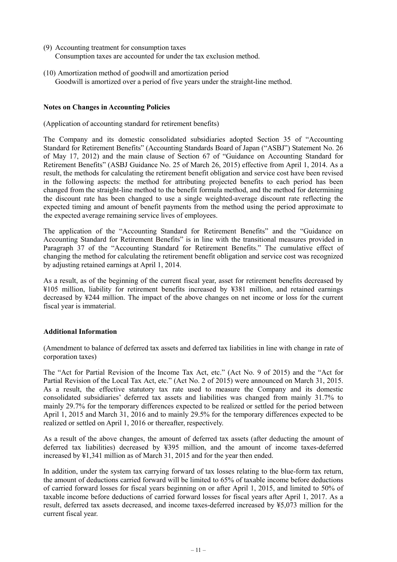- (9) Accounting treatment for consumption taxes Consumption taxes are accounted for under the tax exclusion method.
- (10) Amortization method of goodwill and amortization period Goodwill is amortized over a period of five years under the straight-line method.

## **Notes on Changes in Accounting Policies**

(Application of accounting standard for retirement benefits)

The Company and its domestic consolidated subsidiaries adopted Section 35 of "Accounting Standard for Retirement Benefits" (Accounting Standards Board of Japan ("ASBJ") Statement No. 26 of May 17, 2012) and the main clause of Section 67 of "Guidance on Accounting Standard for Retirement Benefits" (ASBJ Guidance No. 25 of March 26, 2015) effective from April 1, 2014. As a result, the methods for calculating the retirement benefit obligation and service cost have been revised in the following aspects: the method for attributing projected benefits to each period has been changed from the straight-line method to the benefit formula method, and the method for determining the discount rate has been changed to use a single weighted-average discount rate reflecting the expected timing and amount of benefit payments from the method using the period approximate to the expected average remaining service lives of employees.

The application of the "Accounting Standard for Retirement Benefits" and the "Guidance on Accounting Standard for Retirement Benefits" is in line with the transitional measures provided in Paragraph 37 of the "Accounting Standard for Retirement Benefits." The cumulative effect of changing the method for calculating the retirement benefit obligation and service cost was recognized by adjusting retained earnings at April 1, 2014.

As a result, as of the beginning of the current fiscal year, asset for retirement benefits decreased by ¥105 million, liability for retirement benefits increased by ¥381 million, and retained earnings decreased by ¥244 million. The impact of the above changes on net income or loss for the current fiscal year is immaterial.

#### **Additional Information**

(Amendment to balance of deferred tax assets and deferred tax liabilities in line with change in rate of corporation taxes)

The "Act for Partial Revision of the Income Tax Act, etc." (Act No. 9 of 2015) and the "Act for Partial Revision of the Local Tax Act, etc." (Act No. 2 of 2015) were announced on March 31, 2015. As a result, the effective statutory tax rate used to measure the Company and its domestic consolidated subsidiaries' deferred tax assets and liabilities was changed from mainly 31.7% to mainly 29.7% for the temporary differences expected to be realized or settled for the period between April 1, 2015 and March 31, 2016 and to mainly 29.5% for the temporary differences expected to be realized or settled on April 1, 2016 or thereafter, respectively.

As a result of the above changes, the amount of deferred tax assets (after deducting the amount of deferred tax liabilities) decreased by ¥395 million, and the amount of income taxes-deferred increased by ¥1,341 million as of March 31, 2015 and for the year then ended.

In addition, under the system tax carrying forward of tax losses relating to the blue-form tax return, the amount of deductions carried forward will be limited to 65% of taxable income before deductions of carried forward losses for fiscal years beginning on or after April 1, 2015, and limited to 50% of taxable income before deductions of carried forward losses for fiscal years after April 1, 2017. As a result, deferred tax assets decreased, and income taxes-deferred increased by ¥5,073 million for the current fiscal year.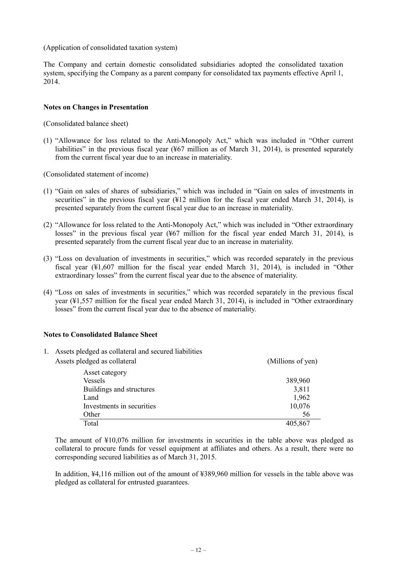(Application of consolidated taxation system)

The Company and certain domestic consolidated subsidiaries adopted the consolidated taxation system, specifying the Company as a parent company for consolidated tax payments effective April 1, 2014.

## **Notes on Changes in Presentation**

(Consolidated balance sheet)

(1) "Allowance for loss related to the Anti-Monopoly Act," which was included in "Other current liabilities" in the previous fiscal year (¥67 million as of March 31, 2014), is presented separately from the current fiscal year due to an increase in materiality.

(Consolidated statement of income)

- (1) "Gain on sales of shares of subsidiaries," which was included in "Gain on sales of investments in securities" in the previous fiscal year (¥12 million for the fiscal year ended March 31, 2014), is presented separately from the current fiscal year due to an increase in materiality.
- (2) "Allowance for loss related to the Anti-Monopoly Act," which was included in "Other extraordinary losses" in the previous fiscal year (¥67 million for the fiscal year ended March 31, 2014), is presented separately from the current fiscal year due to an increase in materiality.
- (3) "Loss on devaluation of investments in securities," which was recorded separately in the previous fiscal year (¥1,607 million for the fiscal year ended March 31, 2014), is included in "Other extraordinary losses" from the current fiscal year due to the absence of materiality.
- (4) "Loss on sales of investments in securities," which was recorded separately in the previous fiscal year (¥1,557 million for the fiscal year ended March 31, 2014), is included in "Other extraordinary losses" from the current fiscal year due to the absence of materiality.

#### **Notes to Consolidated Balance Sheet**

1. Assets pledged as collateral and secured liabilities

| Assets pledged as collateral | (Millions of yen) |
|------------------------------|-------------------|
| Asset category               |                   |
| Vessels                      | 389,960           |
| Buildings and structures     | 3,811             |
| Land                         | 1,962             |
| Investments in securities    | 10,076            |
| Other                        | 56                |
| Total                        | 405,867           |

The amount of ¥10,076 million for investments in securities in the table above was pledged as collateral to procure funds for vessel equipment at affiliates and others. As a result, there were no corresponding secured liabilities as of March 31, 2015.

In addition, ¥4,116 million out of the amount of ¥389,960 million for vessels in the table above was pledged as collateral for entrusted guarantees.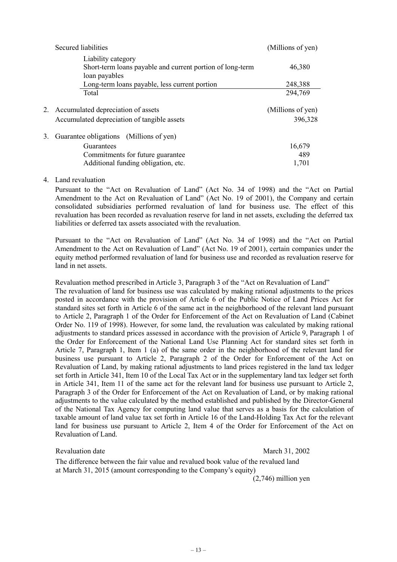|    | Secured liabilities                                                                              | (Millions of yen)            |
|----|--------------------------------------------------------------------------------------------------|------------------------------|
|    | Liability category<br>Short-term loans payable and current portion of long-term<br>loan payables | 46,380                       |
|    | Long-term loans payable, less current portion                                                    | 248,388                      |
|    | Total                                                                                            | 294,769                      |
|    | 2. Accumulated depreciation of assets<br>Accumulated depreciation of tangible assets             | (Millions of yen)<br>396,328 |
| 3. | Guarantee obligations<br>(Millions of yen)                                                       |                              |
|    | Guarantees                                                                                       | 16,679                       |
|    | Commitments for future guarantee                                                                 | 489                          |
|    | Additional funding obligation, etc.                                                              | 1,701                        |
|    |                                                                                                  |                              |

#### 4. Land revaluation

Pursuant to the "Act on Revaluation of Land" (Act No. 34 of 1998) and the "Act on Partial Amendment to the Act on Revaluation of Land" (Act No. 19 of 2001), the Company and certain consolidated subsidiaries performed revaluation of land for business use. The effect of this revaluation has been recorded as revaluation reserve for land in net assets, excluding the deferred tax liabilities or deferred tax assets associated with the revaluation.

Pursuant to the "Act on Revaluation of Land" (Act No. 34 of 1998) and the "Act on Partial Amendment to the Act on Revaluation of Land" (Act No. 19 of 2001), certain companies under the equity method performed revaluation of land for business use and recorded as revaluation reserve for land in net assets.

Revaluation method prescribed in Article 3, Paragraph 3 of the "Act on Revaluation of Land" The revaluation of land for business use was calculated by making rational adjustments to the prices posted in accordance with the provision of Article 6 of the Public Notice of Land Prices Act for standard sites set forth in Article 6 of the same act in the neighborhood of the relevant land pursuant to Article 2, Paragraph 1 of the Order for Enforcement of the Act on Revaluation of Land (Cabinet Order No. 119 of 1998). However, for some land, the revaluation was calculated by making rational adjustments to standard prices assessed in accordance with the provision of Article 9, Paragraph 1 of the Order for Enforcement of the National Land Use Planning Act for standard sites set forth in Article 7, Paragraph 1, Item 1 (a) of the same order in the neighborhood of the relevant land for business use pursuant to Article 2, Paragraph 2 of the Order for Enforcement of the Act on Revaluation of Land, by making rational adjustments to land prices registered in the land tax ledger set forth in Article 341, Item 10 of the Local Tax Act or in the supplementary land tax ledger set forth in Article 341, Item 11 of the same act for the relevant land for business use pursuant to Article 2, Paragraph 3 of the Order for Enforcement of the Act on Revaluation of Land, or by making rational adjustments to the value calculated by the method established and published by the Director-General of the National Tax Agency for computing land value that serves as a basis for the calculation of taxable amount of land value tax set forth in Article 16 of the Land-Holding Tax Act for the relevant land for business use pursuant to Article 2, Item 4 of the Order for Enforcement of the Act on Revaluation of Land.

#### Revaluation date March 31, 2002

The difference between the fair value and revalued book value of the revalued land at March 31, 2015 (amount corresponding to the Company's equity)

(2,746) million yen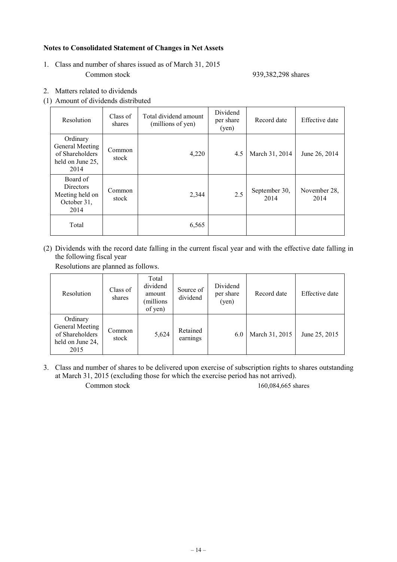# **Notes to Consolidated Statement of Changes in Net Assets**

1. Class and number of shares issued as of March 31, 2015 Common stock 939,382,298 shares

- 2. Matters related to dividends
- (1) Amount of dividends distributed

| Resolution                                                                 | Class of<br>shares | Total dividend amount<br>(millions of yen) | Dividend<br>per share<br>(yen) | Record date           | Effective date       |
|----------------------------------------------------------------------------|--------------------|--------------------------------------------|--------------------------------|-----------------------|----------------------|
| Ordinary<br>General Meeting<br>of Shareholders<br>held on June 25,<br>2014 | Common<br>stock    | 4,220                                      | 4.5                            | March 31, 2014        | June 26, 2014        |
| Board of<br><b>Directors</b><br>Meeting held on<br>October 31,<br>2014     | Common<br>stock    | 2,344                                      | 2.5                            | September 30,<br>2014 | November 28.<br>2014 |
| Total                                                                      |                    | 6,565                                      |                                |                       |                      |

(2) Dividends with the record date falling in the current fiscal year and with the effective date falling in the following fiscal year

Resolutions are planned as follows.

| Resolution                                                                 | Class of<br>shares | Total<br>dividend<br>amount<br>millions)<br>of yen) | Source of<br>dividend | Dividend<br>per share<br>(yen) | Record date    | Effective date |
|----------------------------------------------------------------------------|--------------------|-----------------------------------------------------|-----------------------|--------------------------------|----------------|----------------|
| Ordinary<br>General Meeting<br>of Shareholders<br>held on June 24,<br>2015 | Common<br>stock    | 5,624                                               | Retained<br>earnings  | 6.0                            | March 31, 2015 | June 25, 2015  |

3. Class and number of shares to be delivered upon exercise of subscription rights to shares outstanding at March 31, 2015 (excluding those for which the exercise period has not arrived). Common stock 160,084,665 shares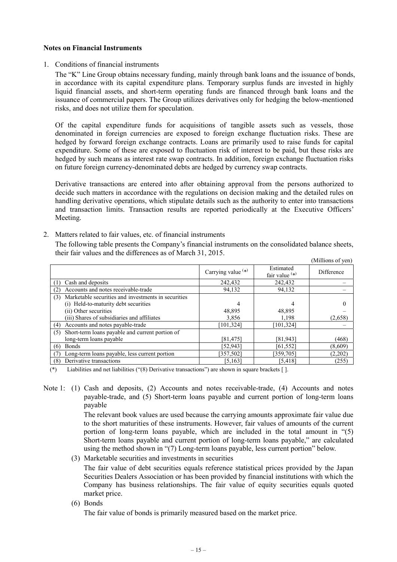#### **Notes on Financial Instruments**

1. Conditions of financial instruments

The "K" Line Group obtains necessary funding, mainly through bank loans and the issuance of bonds, in accordance with its capital expenditure plans. Temporary surplus funds are invested in highly liquid financial assets, and short-term operating funds are financed through bank loans and the issuance of commercial papers. The Group utilizes derivatives only for hedging the below-mentioned risks, and does not utilize them for speculation.

Of the capital expenditure funds for acquisitions of tangible assets such as vessels, those denominated in foreign currencies are exposed to foreign exchange fluctuation risks. These are hedged by forward foreign exchange contracts. Loans are primarily used to raise funds for capital expenditure. Some of these are exposed to fluctuation risk of interest to be paid, but these risks are hedged by such means as interest rate swap contracts. In addition, foreign exchange fluctuation risks on future foreign currency-denominated debts are hedged by currency swap contracts.

Derivative transactions are entered into after obtaining approval from the persons authorized to decide such matters in accordance with the regulations on decision making and the detailed rules on handling derivative operations, which stipulate details such as the authority to enter into transactions and transaction limits. Transaction results are reported periodically at the Executive Officers' Meeting.

2. Matters related to fair values, etc. of financial instruments

The following table presents the Company's financial instruments on the consolidated balance sheets, their fair values and the differences as of March 31, 2015.  $(M)$ lions of you

|                                                            |                      |                               | дишнонѕ от уенд |
|------------------------------------------------------------|----------------------|-------------------------------|-----------------|
|                                                            | Carrying value $(*)$ | Estimated<br>fair value $(*)$ | Difference      |
| Cash and deposits                                          | 242,432              | 242,432                       |                 |
| Accounts and notes receivable-trade<br>(2)                 | 94,132               | 94,132                        |                 |
| Marketable securities and investments in securities<br>(3) |                      |                               |                 |
| (i) Held-to-maturity debt securities                       | 4                    |                               |                 |
| (ii) Other securities                                      | 48,895               | 48,895                        |                 |
| (iii) Shares of subsidiaries and affiliates                | 3,856                | 1.198                         | (2,658)         |
| Accounts and notes payable-trade<br>(4)                    | 101,324              | [101, 324]                    |                 |
| Short-term loans payable and current portion of<br>(5)     |                      |                               |                 |
| long-term loans payable                                    | [81, 475]            | [81,943]                      | (468)           |
| <b>Bonds</b><br>(6)                                        | [52,943]             | [61, 552]                     | (8,609)         |
| Long-term loans payable, less current portion              | [357,502]            | [359,705]                     | (2,202)         |
| Derivative transactions<br>(8)                             | [5, 163]             | [5, 418]                      | (255)           |

(\*) Liabilities and net liabilities ("(8) Derivative transactions") are shown in square brackets [ ].

Note 1: (1) Cash and deposits, (2) Accounts and notes receivable-trade, (4) Accounts and notes payable-trade, and (5) Short-term loans payable and current portion of long-term loans payable

> The relevant book values are used because the carrying amounts approximate fair value due to the short maturities of these instruments. However, fair values of amounts of the current portion of long-term loans payable, which are included in the total amount in "(5) Short-term loans payable and current portion of long-term loans payable," are calculated using the method shown in "(7) Long-term loans payable, less current portion" below.

(3) Marketable securities and investments in securities

The fair value of debt securities equals reference statistical prices provided by the Japan Securities Dealers Association or has been provided by financial institutions with which the Company has business relationships. The fair value of equity securities equals quoted market price.

(6) Bonds

The fair value of bonds is primarily measured based on the market price.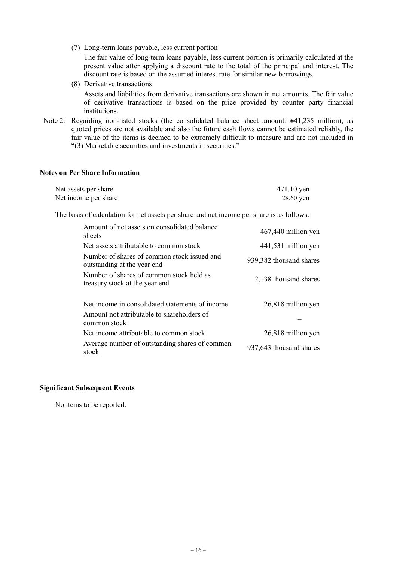(7) Long-term loans payable, less current portion

The fair value of long-term loans payable, less current portion is primarily calculated at the present value after applying a discount rate to the total of the principal and interest. The discount rate is based on the assumed interest rate for similar new borrowings.

- (8) Derivative transactions Assets and liabilities from derivative transactions are shown in net amounts. The fair value of derivative transactions is based on the price provided by counter party financial institutions.
- Note 2: Regarding non-listed stocks (the consolidated balance sheet amount: ¥41,235 million), as quoted prices are not available and also the future cash flows cannot be estimated reliably, the fair value of the items is deemed to be extremely difficult to measure and are not included in "(3) Marketable securities and investments in securities."

#### **Notes on Per Share Information**

| Net assets per share | 471.10 yen |
|----------------------|------------|
| Net income per share | 28.60 yen  |

The basis of calculation for net assets per share and net income per share is as follows:

| Amount of net assets on consolidated balance<br>sheets                                                        | 467,440 million yen     |
|---------------------------------------------------------------------------------------------------------------|-------------------------|
| Net assets attributable to common stock                                                                       | 441,531 million yen     |
| Number of shares of common stock issued and<br>outstanding at the year end                                    | 939,382 thousand shares |
| Number of shares of common stock held as<br>treasury stock at the year end                                    | 2,138 thousand shares   |
| Net income in consolidated statements of income<br>Amount not attributable to shareholders of<br>common stock | 26,818 million yen      |
| Net income attributable to common stock                                                                       | 26,818 million yen      |
| Average number of outstanding shares of common<br>stock                                                       | 937,643 thousand shares |

#### **Significant Subsequent Events**

No items to be reported.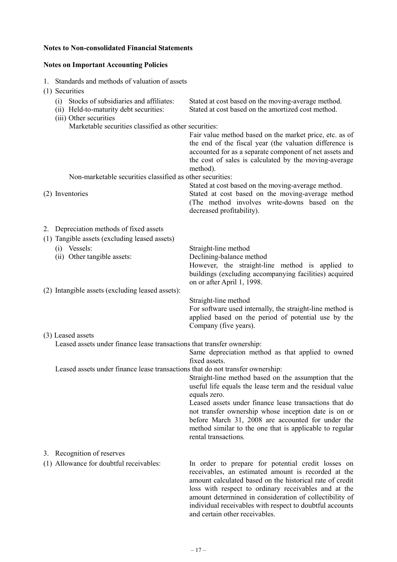# **Notes to Non-consolidated Financial Statements**

# **Notes on Important Accounting Policies**

1. Standards and methods of valuation of assets

| (1) Securities                                                                                                    |                                                                                                                                                                                                                                                                                                                                                                                             |
|-------------------------------------------------------------------------------------------------------------------|---------------------------------------------------------------------------------------------------------------------------------------------------------------------------------------------------------------------------------------------------------------------------------------------------------------------------------------------------------------------------------------------|
| Stocks of subsidiaries and affiliates:<br>(i)<br>(ii) Held-to-maturity debt securities:<br>(iii) Other securities | Stated at cost based on the moving-average method.<br>Stated at cost based on the amortized cost method.                                                                                                                                                                                                                                                                                    |
| Marketable securities classified as other securities:                                                             | Fair value method based on the market price, etc. as of<br>the end of the fiscal year (the valuation difference is<br>accounted for as a separate component of net assets and<br>the cost of sales is calculated by the moving-average<br>method).                                                                                                                                          |
| Non-marketable securities classified as other securities:                                                         |                                                                                                                                                                                                                                                                                                                                                                                             |
| (2) Inventories                                                                                                   | Stated at cost based on the moving-average method.<br>Stated at cost based on the moving-average method<br>(The method involves write-downs based on the<br>decreased profitability).                                                                                                                                                                                                       |
| 2. Depreciation methods of fixed assets                                                                           |                                                                                                                                                                                                                                                                                                                                                                                             |
| (1) Tangible assets (excluding leased assets)                                                                     |                                                                                                                                                                                                                                                                                                                                                                                             |
| (i) Vessels:<br>(ii) Other tangible assets:                                                                       | Straight-line method<br>Declining-balance method<br>However, the straight-line method is applied to<br>buildings (excluding accompanying facilities) acquired                                                                                                                                                                                                                               |
| (2) Intangible assets (excluding leased assets):                                                                  | on or after April 1, 1998.                                                                                                                                                                                                                                                                                                                                                                  |
|                                                                                                                   | Straight-line method<br>For software used internally, the straight-line method is<br>applied based on the period of potential use by the<br>Company (five years).                                                                                                                                                                                                                           |
| (3) Leased assets                                                                                                 |                                                                                                                                                                                                                                                                                                                                                                                             |
| Leased assets under finance lease transactions that transfer ownership:                                           | Same depreciation method as that applied to owned<br>fixed assets.                                                                                                                                                                                                                                                                                                                          |
| Leased assets under finance lease transactions that do not transfer ownership:                                    | Straight-line method based on the assumption that the<br>useful life equals the lease term and the residual value<br>equals zero.<br>Leased assets under finance lease transactions that do<br>not transfer ownership whose inception date is on or<br>before March 31, 2008 are accounted for under the<br>method similar to the one that is applicable to regular<br>rental transactions. |
| 3. Recognition of reserves                                                                                        |                                                                                                                                                                                                                                                                                                                                                                                             |
| (1) Allowance for doubtful receivables:                                                                           | In order to prepare for potential credit losses on<br>receivables, an estimated amount is recorded at the                                                                                                                                                                                                                                                                                   |

amount calculated based on the historical rate of credit loss with respect to ordinary receivables and at the amount determined in consideration of collectibility of individual receivables with respect to doubtful accounts and certain other receivables.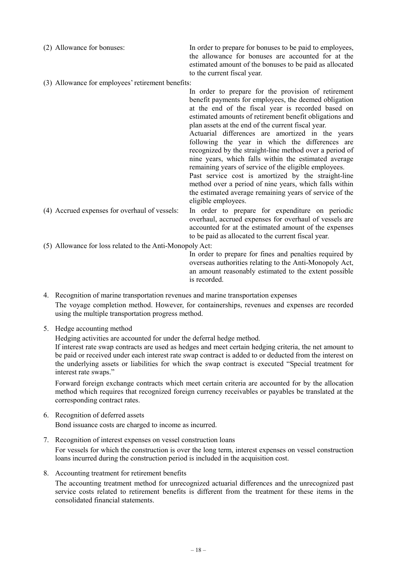| (2) Allowance for bonuses:                        | In order to prepare for bonuses to be paid to employees,<br>the allowance for bonuses are accounted for at the<br>estimated amount of the bonuses to be paid as allocated<br>to the current fiscal year. |
|---------------------------------------------------|----------------------------------------------------------------------------------------------------------------------------------------------------------------------------------------------------------|
| (3) Allowance for employees' retirement benefits: |                                                                                                                                                                                                          |

In order to prepare for the provision of retirement benefit payments for employees, the deemed obligation at the end of the fiscal year is recorded based on estimated amounts of retirement benefit obligations and plan assets at the end of the current fiscal year.

Actuarial differences are amortized in the years following the year in which the differences are recognized by the straight-line method over a period of nine years, which falls within the estimated average remaining years of service of the eligible employees.

Past service cost is amortized by the straight-line method over a period of nine years, which falls within the estimated average remaining years of service of the eligible employees.

(4) Accrued expenses for overhaul of vessels: In order to prepare for expenditure on periodic overhaul, accrued expenses for overhaul of vessels are

accounted for at the estimated amount of the expenses to be paid as allocated to the current fiscal year.

(5) Allowance for loss related to the Anti-Monopoly Act:

In order to prepare for fines and penalties required by overseas authorities relating to the Anti-Monopoly Act, an amount reasonably estimated to the extent possible is recorded.

4. Recognition of marine transportation revenues and marine transportation expenses The voyage completion method. However, for containerships, revenues and expenses are recorded using the multiple transportation progress method.

5. Hedge accounting method

Hedging activities are accounted for under the deferral hedge method.

If interest rate swap contracts are used as hedges and meet certain hedging criteria, the net amount to be paid or received under each interest rate swap contract is added to or deducted from the interest on the underlying assets or liabilities for which the swap contract is executed "Special treatment for interest rate swaps."

Forward foreign exchange contracts which meet certain criteria are accounted for by the allocation method which requires that recognized foreign currency receivables or payables be translated at the corresponding contract rates.

- 6. Recognition of deferred assets Bond issuance costs are charged to income as incurred.
- 7. Recognition of interest expenses on vessel construction loans For vessels for which the construction is over the long term, interest expenses on vessel construction loans incurred during the construction period is included in the acquisition cost.
- 8. Accounting treatment for retirement benefits

The accounting treatment method for unrecognized actuarial differences and the unrecognized past service costs related to retirement benefits is different from the treatment for these items in the consolidated financial statements.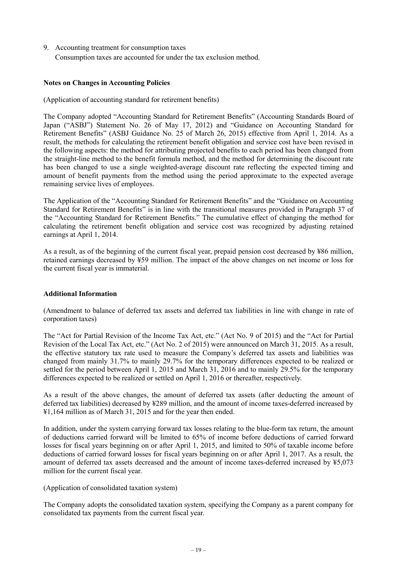9. Accounting treatment for consumption taxes Consumption taxes are accounted for under the tax exclusion method.

# **Notes on Changes in Accounting Policies**

(Application of accounting standard for retirement benefits)

The Company adopted "Accounting Standard for Retirement Benefits" (Accounting Standards Board of Japan ("ASBJ") Statement No. 26 of May 17, 2012) and "Guidance on Accounting Standard for Retirement Benefits" (ASBJ Guidance No. 25 of March 26, 2015) effective from April 1, 2014. As a result, the methods for calculating the retirement benefit obligation and service cost have been revised in the following aspects: the method for attributing projected benefits to each period has been changed from the straight-line method to the benefit formula method, and the method for determining the discount rate has been changed to use a single weighted-average discount rate reflecting the expected timing and amount of benefit payments from the method using the period approximate to the expected average remaining service lives of employees.

The Application of the "Accounting Standard for Retirement Benefits" and the "Guidance on Accounting Standard for Retirement Benefits" is in line with the transitional measures provided in Paragraph 37 of the "Accounting Standard for Retirement Benefits." The cumulative effect of changing the method for calculating the retirement benefit obligation and service cost was recognized by adjusting retained earnings at April 1, 2014.

As a result, as of the beginning of the current fiscal year, prepaid pension cost decreased by ¥86 million, retained earnings decreased by ¥59 million. The impact of the above changes on net income or loss for the current fiscal year is immaterial.

#### **Additional Information**

(Amendment to balance of deferred tax assets and deferred tax liabilities in line with change in rate of corporation taxes)

The "Act for Partial Revision of the Income Tax Act, etc." (Act No. 9 of 2015) and the "Act for Partial Revision of the Local Tax Act, etc." (Act No. 2 of 2015) were announced on March 31, 2015. As a result, the effective statutory tax rate used to measure the Company's deferred tax assets and liabilities was changed from mainly 31.7% to mainly 29.7% for the temporary differences expected to be realized or settled for the period between April 1, 2015 and March 31, 2016 and to mainly 29.5% for the temporary differences expected to be realized or settled on April 1, 2016 or thereafter, respectively.

As a result of the above changes, the amount of deferred tax assets (after deducting the amount of deferred tax liabilities) decreased by ¥289 million, and the amount of income taxes-deferred increased by ¥1,164 million as of March 31, 2015 and for the year then ended.

In addition, under the system carrying forward tax losses relating to the blue-form tax return, the amount of deductions carried forward will be limited to 65% of income before deductions of carried forward losses for fiscal years beginning on or after April 1, 2015, and limited to 50% of taxable income before deductions of carried forward losses for fiscal years beginning on or after April 1, 2017. As a result, the amount of deferred tax assets decreased and the amount of income taxes-deferred increased by ¥5,073 million for the current fiscal year.

## (Application of consolidated taxation system)

The Company adopts the consolidated taxation system, specifying the Company as a parent company for consolidated tax payments from the current fiscal year.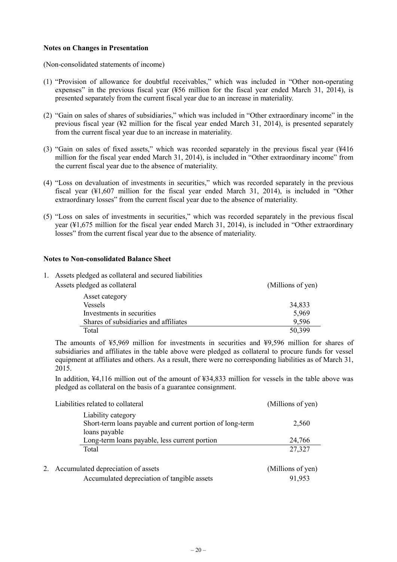#### **Notes on Changes in Presentation**

(Non-consolidated statements of income)

- (1) "Provision of allowance for doubtful receivables," which was included in "Other non-operating expenses" in the previous fiscal year (¥56 million for the fiscal year ended March 31, 2014), is presented separately from the current fiscal year due to an increase in materiality.
- (2) "Gain on sales of shares of subsidiaries," which was included in "Other extraordinary income" in the previous fiscal year  $(42)$  million for the fiscal year ended March 31, 2014), is presented separately from the current fiscal year due to an increase in materiality.
- (3) "Gain on sales of fixed assets," which was recorded separately in the previous fiscal year (¥416 million for the fiscal year ended March 31, 2014), is included in "Other extraordinary income" from the current fiscal year due to the absence of materiality.
- (4) "Loss on devaluation of investments in securities," which was recorded separately in the previous fiscal year (¥1,607 million for the fiscal year ended March 31, 2014), is included in "Other extraordinary losses" from the current fiscal year due to the absence of materiality.
- (5) "Loss on sales of investments in securities," which was recorded separately in the previous fiscal year (¥1,675 million for the fiscal year ended March 31, 2014), is included in "Other extraordinary losses" from the current fiscal year due to the absence of materiality.

#### **Notes to Non-consolidated Balance Sheet**

|  | Assets pledged as collateral and secured liabilities |                   |
|--|------------------------------------------------------|-------------------|
|  | Assets pledged as collateral                         | (Millions of yen) |
|  | Asset category                                       |                   |
|  | <b>Vessels</b>                                       | 34,833            |
|  | Investments in securities                            | 5,969             |
|  | Shares of subsidiaries and affiliates                | 9,596             |
|  | Total                                                | 50,399            |

The amounts of ¥5,969 million for investments in securities and ¥9,596 million for shares of subsidiaries and affiliates in the table above were pledged as collateral to procure funds for vessel equipment at affiliates and others. As a result, there were no corresponding liabilities as of March 31, 2015.

In addition, ¥4,116 million out of the amount of ¥34,833 million for vessels in the table above was pledged as collateral on the basis of a guarantee consignment.

| Liabilities related to collateral                                                                | (Millions of yen) |
|--------------------------------------------------------------------------------------------------|-------------------|
| Liability category<br>Short-term loans payable and current portion of long-term<br>loans payable | 2,560             |
| Long-term loans payable, less current portion                                                    | 24,766            |
| Total                                                                                            | 27,327            |
| 2. Accumulated depreciation of assets                                                            | (Millions of yen) |
| Accumulated depreciation of tangible assets                                                      | 91,953            |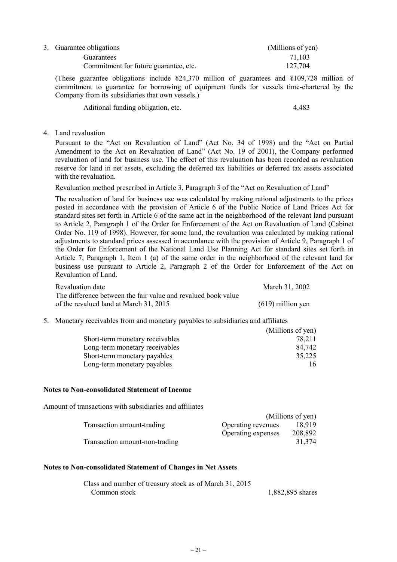| 3. Guarantee obligations              | (Millions of yen) |
|---------------------------------------|-------------------|
| Guarantees                            | 71.103            |
| Commitment for future guarantee, etc. | 127,704           |
|                                       |                   |

(These guarantee obligations include ¥24,370 million of guarantees and ¥109,728 million of commitment to guarantee for borrowing of equipment funds for vessels time-chartered by the Company from its subsidiaries that own vessels.)

Aditional funding obligation, etc. 4,483

#### 4. Land revaluation

Pursuant to the "Act on Revaluation of Land" (Act No. 34 of 1998) and the "Act on Partial Amendment to the Act on Revaluation of Land" (Act No. 19 of 2001), the Company performed revaluation of land for business use. The effect of this revaluation has been recorded as revaluation reserve for land in net assets, excluding the deferred tax liabilities or deferred tax assets associated with the revaluation.

Revaluation method prescribed in Article 3, Paragraph 3 of the "Act on Revaluation of Land"

The revaluation of land for business use was calculated by making rational adjustments to the prices posted in accordance with the provision of Article 6 of the Public Notice of Land Prices Act for standard sites set forth in Article 6 of the same act in the neighborhood of the relevant land pursuant to Article 2, Paragraph 1 of the Order for Enforcement of the Act on Revaluation of Land (Cabinet Order No. 119 of 1998). However, for some land, the revaluation was calculated by making rational adjustments to standard prices assessed in accordance with the provision of Article 9, Paragraph 1 of the Order for Enforcement of the National Land Use Planning Act for standard sites set forth in Article 7, Paragraph 1, Item 1 (a) of the same order in the neighborhood of the relevant land for business use pursuant to Article 2, Paragraph 2 of the Order for Enforcement of the Act on Revaluation of Land.

| Revaluation date                                              | March 31, 2002      |
|---------------------------------------------------------------|---------------------|
| The difference between the fair value and revalued book value |                     |
| of the revalued land at March 31, 2015                        | $(619)$ million yen |

5. Monetary receivables from and monetary payables to subsidiaries and affiliates

|                                 | (Millions of yen) |
|---------------------------------|-------------------|
| Short-term monetary receivables | 78,211            |
| Long-term monetary receivables  | 84,742            |
| Short-term monetary payables    | 35,225            |
| Long-term monetary payables     | 16                |

#### **Notes to Non-consolidated Statement of Income**

Amount of transactions with subsidiaries and affiliates

|                                |                    | (Millions of yen) |
|--------------------------------|--------------------|-------------------|
| Transaction amount-trading     | Operating revenues | 18.919            |
|                                | Operating expenses | 208,892           |
| Transaction amount-non-trading |                    | 31,374            |

#### **Notes to Non-consolidated Statement of Changes in Net Assets**

| Class and number of treasury stock as of March 31, 2015 |                  |
|---------------------------------------------------------|------------------|
| Common stock                                            | 1,882,895 shares |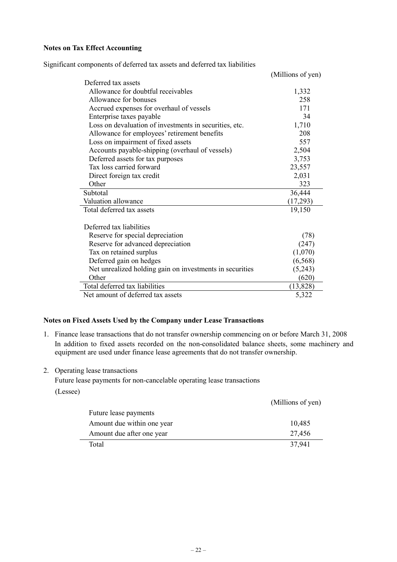# **Notes on Tax Effect Accounting**

Significant components of deferred tax assets and deferred tax liabilities

|                                                          | (Millions of yen) |
|----------------------------------------------------------|-------------------|
| Deferred tax assets                                      |                   |
| Allowance for doubtful receivables                       | 1,332             |
| Allowance for bonuses                                    | 258               |
| Accrued expenses for overhaul of vessels                 | 171               |
| Enterprise taxes payable                                 | 34                |
| Loss on devaluation of investments in securities, etc.   | 1,710             |
| Allowance for employees' retirement benefits             | 208               |
| Loss on impairment of fixed assets                       | 557               |
| Accounts payable-shipping (overhaul of vessels)          | 2,504             |
| Deferred assets for tax purposes                         | 3,753             |
| Tax loss carried forward                                 | 23,557            |
| Direct foreign tax credit                                | 2,031             |
| Other                                                    | 323               |
| Subtotal                                                 | 36,444            |
| Valuation allowance                                      | (17,293)          |
| Total deferred tax assets                                | 19,150            |
|                                                          |                   |
| Deferred tax liabilities                                 |                   |
| Reserve for special depreciation                         | (78)              |
| Reserve for advanced depreciation                        | (247)             |
| Tax on retained surplus                                  | (1,070)           |
| Deferred gain on hedges                                  | (6, 568)          |
| Net unrealized holding gain on investments in securities | (5,243)           |
| Other                                                    | (620)             |
| Total deferred tax liabilities                           | (13, 828)         |
| Net amount of deferred tax assets                        | 5,322             |

#### **Notes on Fixed Assets Used by the Company under Lease Transactions**

- 1. Finance lease transactions that do not transfer ownership commencing on or before March 31, 2008 In addition to fixed assets recorded on the non-consolidated balance sheets, some machinery and equipment are used under finance lease agreements that do not transfer ownership.
- 2. Operating lease transactions

Future lease payments for non-cancelable operating lease transactions

(Lessee)

|                            | (Millions of yen) |
|----------------------------|-------------------|
| Future lease payments      |                   |
| Amount due within one year | 10,485            |
| Amount due after one year  | 27,456            |
| Total                      | 37.941            |